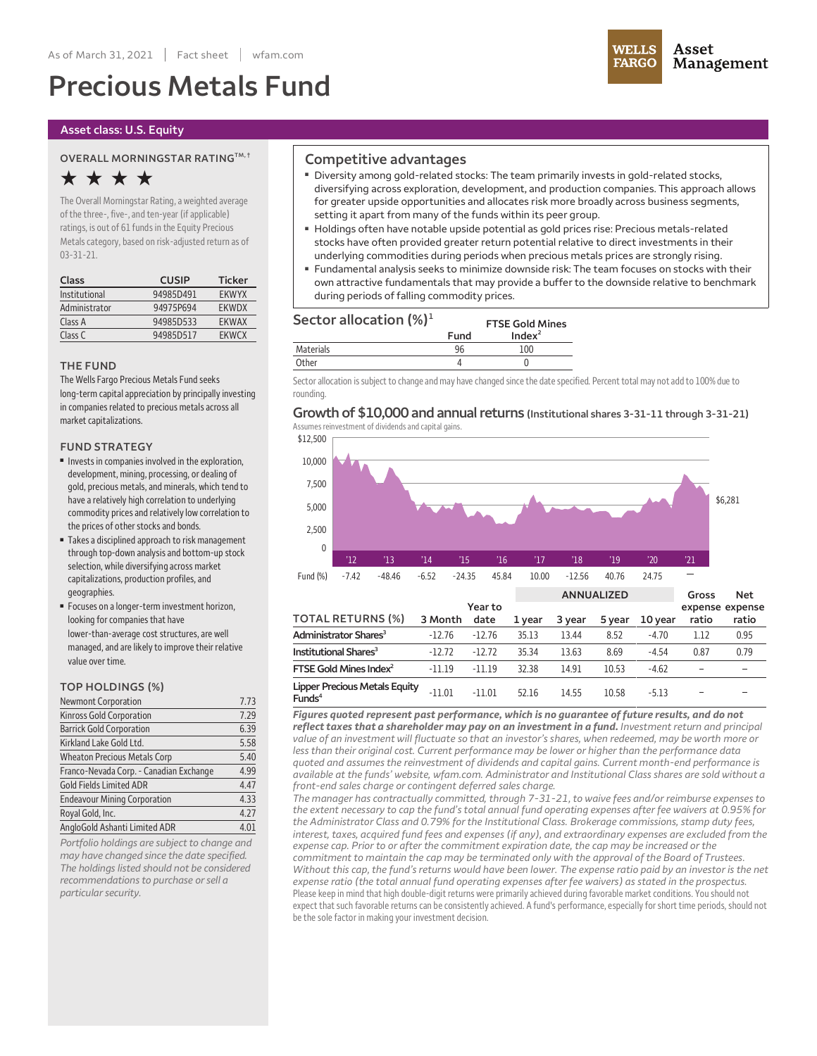# **Precious Metals Fund**



#### **Asset class: U.S. Equity**

#### **OVERALL MORNINGSTAR RATINGTM, †**

# **★ ★ ★ ★**

**The OverallMorningstar Rating,a weighted average ofthe three-, five-,and ten-year (ifapplicable) ratings, is out of 61 fundsin the Equity Precious Metalscategory, based on risk-adjusted return as of 03-31-21.**

| Class         | <b>CUSIP</b> | <b>Ticker</b> |
|---------------|--------------|---------------|
| Institutional | 94985D491    | <b>EKWYX</b>  |
| Administrator | 94975P694    | <b>FKWDX</b>  |
| Class A       | 94985D533    | <b>FKWAX</b>  |
| Class C       | 94985D517    | <b>FKWCX</b>  |

#### **THE FUND**

**The Wells Fargo Precious Metals Fund seeks long-term capitalappreciation by principallyinvesting** in companies related to precious metals across all market capitalizations.

#### **FUND STRATEGY**

- **■ Investsin companiesinvolved in the exploration, development, mining, processing, or dealing of gold, precious metals,andminerals, which tend to have arelatively high correlation to underlying commodity pricesand relativelylow correlation to the prices of otherstocksand bonds.**
- **■ Takesa disciplined approach to riskmanagement through top-down analysisand bottom-up stock selection, while diversifying across market capitalizations, production profiles,and geographies.**
- **■ Focuses on alonger-term investment horizon, looking forcompanies that have lower-than-average cost structures,are well managed,and are likelyto improve their relative value over time.**

#### **TOP HOLDINGS (%)**

| Newmont Corporation                     | 7.73 |
|-----------------------------------------|------|
| Kinross Gold Corporation                | 7.29 |
| <b>Barrick Gold Corporation</b>         | 6.39 |
| Kirkland Lake Gold Ltd.                 | 5.58 |
| <b>Wheaton Precious Metals Corp</b>     | 5.40 |
| Franco-Nevada Corp. - Canadian Exchange | 4.99 |
| <b>Gold Fields Limited ADR</b>          | 4.47 |
| <b>Endeavour Mining Corporation</b>     | 4.33 |
| Royal Gold, Inc.                        | 4.27 |
| AngloGold Ashanti Limited ADR           | 4.01 |

*Portfolio holdings are subject to change and may have changed since the date specified. The holdings listed should not be considered recommendations to purchase orsell a particularsecurity.*

### **Competitive advantages**

- **■ Diversity among gold-related stocks: The team primarily invests in gold-related stocks, diversifying across exploration, development, and production companies. This approach allows for greater upside opportunities and allocates risk more broadly across business segments, setting it apart from many of the funds within its peer group.**
- **■ Holdings often have notable upside potential as gold prices rise: Precious metals-related stocks have often provided greater return potential relative to direct investments in their underlying commodities during periods when precious metals prices are strongly rising.**
- **■ Fundamental analysis seeks to minimize downside risk: The team focuses on stocks with their own attractive fundamentals that may provide a buffer to the downside relative to benchmark during periods offalling commodity prices.**

**FTSE Gold Mines**

## **Sector allocation (%)<sup>1</sup>**

|                  | Fund | Index <sup>2</sup> |
|------------------|------|--------------------|
| <b>Materials</b> | 96   |                    |
| )ther            |      |                    |

Sector allocation is subject to change and may have changed since the date specified. Percent total may not add to 100% due to **rounding.**

#### **Growth of \$10,000 and annualreturns (Institutional shares 3-31-11 through 3-31-21) Assumesreinvestment of dividendsand capital gains.**

**\$12,500 10,000 7,500 5,000 2,500 0 '12 '13 '14 '15 '16 '17 '18 '19 '20 '21 Fund (%) -7.42 -48.46 -6.52 -24.35 45.84 10.00 -12.56 40.76 24.75 \$6,281**

|                                                            |          |                 |        | <b>ANNUALIZED</b> |        |         | Gross                    | <b>Net</b> |
|------------------------------------------------------------|----------|-----------------|--------|-------------------|--------|---------|--------------------------|------------|
| <b>TOTAL RETURNS (%)</b>                                   | 3 Month  | Year to<br>date | 1 year | 3 year            | 5 year | 10 year | expense expense<br>ratio | ratio      |
| Administrator Shares <sup>3</sup>                          | $-12.76$ | $-12.76$        | 35.13  | 13.44             | 8.52   | $-4.70$ | 1.12                     | 0.95       |
| Institutional Shares <sup>3</sup>                          | $-12.72$ | $-12.72$        | 35.34  | 13.63             | 8.69   | $-4.54$ | 0.87                     | 0.79       |
| FTSE Gold Mines Index $^2$                                 | $-11.19$ | $-11.19$        | 32.38  | 14.91             | 10.53  | $-4.62$ |                          |            |
| <b>Lipper Precious Metals Equity</b><br>Funds <sup>4</sup> | $-11.01$ | $-11.01$        | 52.16  | 14.55             | 10.58  | $-5.13$ |                          |            |

*Figures quoted represent past performance, which is no guarantee of future results, and do not reflect taxes that a shareholder may pay on an investment in a fund. Investment return and principal* value of an investment will fluctuate so that an investor's shares, when redeemed, may be worth more or *less than their original cost. Current performance may be lower or higher than the performance data quoted and assumes the reinvestment of dividends and capital gains. Current month-end performance is available at the funds' website, wfam.com. Administrator and Institutional Class shares are sold without a front-end sales charge or contingent deferred sales charge.*

*The manager has contractually committed, through 7-31-21, to waive fees and/or reimburse expenses to* the extent necessary to cap the fund's total annual fund operating expenses after fee waivers at 0.95% for *the Administrator Class and 0.79% forthe Institutional Class. Brokerage commissions, stamp duty fees, interest, taxes, acquired fund fees and expenses (if any), and extraordinary expenses are excluded from the expense cap. Prior to or after the commitment expiration date, the cap may be increased or the commitment to maintain the cap may be terminated only with the approval of the Board of Trustees.* Without this cap, the fund's returns would have been lower. The expense ratio paid by an investor is the net *expense ratio (the total annual fund operating expenses after fee waivers) as stated in the prospectus.* Please keep in mind that high double-digit returns were primarily achieved during favorable market conditions. You should not **expectthatsuch favorable returns can be consistentlyachieved. A fund's performance, especiallyforshorttime periods,should not be the sole factor in making your investment decision.**